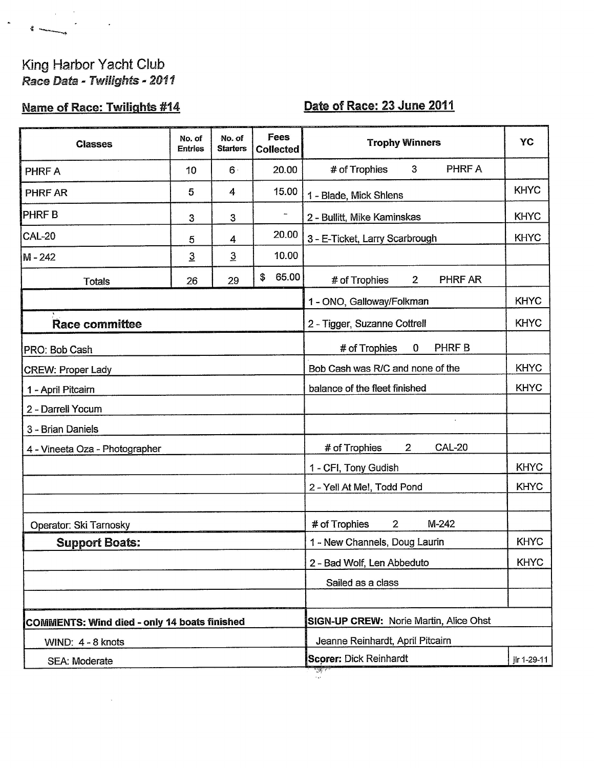## King Harbor Yacht Club Race Data - Twilights - 2011

 $\ddot{\bm{s}}$  -mass

 $\overline{\phantom{a}}$ 

## **Name of Race: Twilights #14**

# Date of Race: 23 June 2011

| <b>Classes</b>                                      | No. of<br><b>Entries</b> | No. of<br><b>Starters</b> | Fees<br><b>Collected</b> | <b>Trophy Winners</b>                             | YC          |
|-----------------------------------------------------|--------------------------|---------------------------|--------------------------|---------------------------------------------------|-------------|
| PHRF A                                              | 10                       | $6 -$                     | 20.00                    | PHRF A<br># of Trophies<br>3                      |             |
| PHRF AR                                             | 5                        | 4                         | 15.00                    | 1 - Blade, Mick Shlens                            | <b>KHYC</b> |
| <b>PHRFB</b>                                        | 3                        | 3                         |                          | 2 - Bullitt, Mike Kaminskas                       | <b>KHYC</b> |
| <b>CAL-20</b>                                       | 5                        | 4                         | 20.00                    | 3 - E-Ticket, Larry Scarbrough                    | <b>KHYC</b> |
| M - 242                                             | $\overline{3}$           | $\overline{3}$            | 10.00                    |                                                   |             |
| Totals                                              | 26                       | 29                        | \$<br>65.00              | <b>PHRF AR</b><br># of Trophies<br>$\overline{2}$ |             |
|                                                     |                          |                           |                          | 1 - ONO, Galloway/Folkman                         | <b>KHYC</b> |
| Race committee                                      |                          |                           |                          | 2 - Tigger, Suzanne Cottrell                      | <b>KHYC</b> |
| PRO: Bob Cash                                       |                          |                           |                          | PHRF B<br># of Trophies<br>$\bf{0}$               |             |
| <b>CREW: Proper Lady</b>                            |                          |                           |                          | Bob Cash was R/C and none of the                  | <b>KHYC</b> |
| 1 - April Pitcairn                                  |                          |                           |                          | balance of the fleet finished                     | <b>KHYC</b> |
| 2 - Darrell Yocum                                   |                          |                           |                          |                                                   |             |
| 3 - Brian Daniels                                   |                          |                           |                          |                                                   |             |
| 4 - Vineeta Oza - Photographer                      |                          |                           |                          | <b>CAL-20</b><br># of Trophies<br>$\mathbf{2}$    |             |
|                                                     |                          |                           |                          | 1 - CFI, Tony Gudish                              | <b>KHYC</b> |
|                                                     |                          |                           |                          | 2 - Yell At Me!, Todd Pond                        | <b>KHYC</b> |
|                                                     |                          |                           |                          |                                                   |             |
| Operator: Ski Tarnosky                              |                          |                           |                          | # of Trophies<br>$M-242$<br>2 <sup>1</sup>        |             |
| <b>Support Boats:</b>                               |                          |                           |                          | 1 - New Channels, Doug Laurin                     | <b>KHYC</b> |
|                                                     |                          |                           |                          | 2 - Bad Wolf, Len Abbeduto                        | <b>KHYC</b> |
|                                                     |                          |                           |                          | Sailed as a class                                 |             |
|                                                     |                          |                           |                          |                                                   |             |
| <b>COMMENTS: Wind died - only 14 boats finished</b> |                          |                           |                          | <b>SIGN-UP CREW: Norie Martin, Alice Ohst</b>     |             |
| WIND: 4 - 8 knots                                   |                          |                           |                          | Jeanne Reinhardt, April Pitcairn                  |             |
| SEA: Moderate                                       |                          |                           |                          | <b>Scorer: Dick Reinhardt</b>                     | jlr 1-29-11 |

 $\frac{1}{\sqrt{2}}$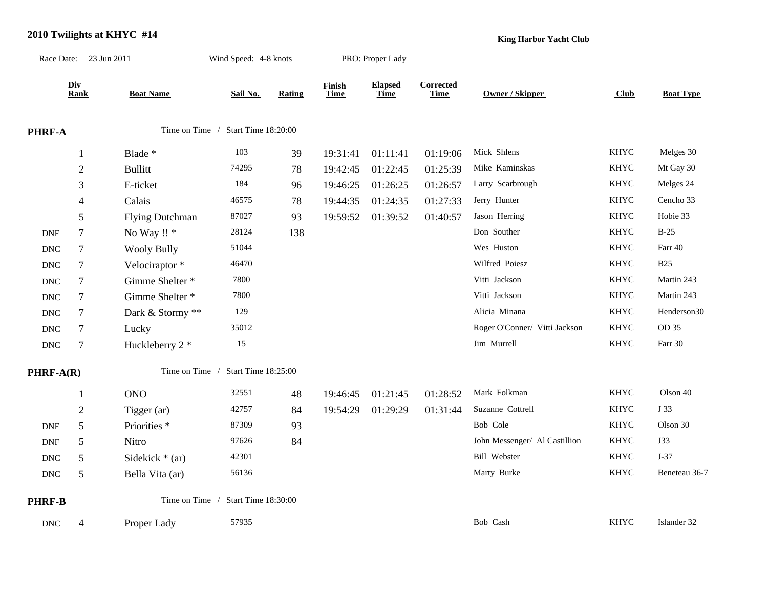### **2010 Twilights at KHYC #14** Race Date: 23 Jun 2011 Wind Speed: 4-8 knots PRO: Proper Lady **Div Finish Corrected Rank Boat Name Sail No. Rating Time Time Time Owner / Skipper Club Boat Type** Elapsed Corrected<br>
<u>Time</u> Time Owner/Skipper

| <b>PHRF-A</b>        |                |                        | Time on Time / Start Time 18:20:00 |     |          |          |          |                               |             |               |
|----------------------|----------------|------------------------|------------------------------------|-----|----------|----------|----------|-------------------------------|-------------|---------------|
|                      | $\mathbf{1}$   | Blade *                | 103                                | 39  | 19:31:41 | 01:11:41 | 01:19:06 | Mick Shlens                   | <b>KHYC</b> | Melges 30     |
|                      | $\overline{2}$ | <b>Bullitt</b>         | 74295                              | 78  | 19:42:45 | 01:22:45 | 01:25:39 | Mike Kaminskas                | <b>KHYC</b> | Mt Gay 30     |
|                      | 3              | E-ticket               | 184                                | 96  | 19:46:25 | 01:26:25 | 01:26:57 | Larry Scarbrough              | <b>KHYC</b> | Melges 24     |
|                      | $\overline{4}$ | Calais                 | 46575                              | 78  | 19:44:35 | 01:24:35 | 01:27:33 | Jerry Hunter                  | <b>KHYC</b> | Cencho 33     |
|                      | 5              | <b>Flying Dutchman</b> | 87027                              | 93  | 19:59:52 | 01:39:52 | 01:40:57 | Jason Herring                 | <b>KHYC</b> | Hobie 33      |
| <b>DNF</b>           | $\overline{7}$ | No Way !! *            | 28124                              | 138 |          |          |          | Don Souther                   | <b>KHYC</b> | $B-25$        |
| $\operatorname{DNC}$ | $\tau$         | <b>Wooly Bully</b>     | 51044                              |     |          |          |          | Wes Huston                    | <b>KHYC</b> | Farr 40       |
| <b>DNC</b>           | $\tau$         | Velociraptor*          | 46470                              |     |          |          |          | Wilfred Poiesz                | <b>KHYC</b> | <b>B25</b>    |
| $\operatorname{DNC}$ | $\tau$         | Gimme Shelter *        | 7800                               |     |          |          |          | Vitti Jackson                 | <b>KHYC</b> | Martin 243    |
| $\operatorname{DNC}$ | $\overline{7}$ | Gimme Shelter *        | 7800                               |     |          |          |          | Vitti Jackson                 | <b>KHYC</b> | Martin 243    |
| $\operatorname{DNC}$ | $\tau$         | Dark & Stormy **       | 129                                |     |          |          |          | Alicia Minana                 | <b>KHYC</b> | Henderson30   |
| $\operatorname{DNC}$ | $\overline{7}$ | Lucky                  | 35012                              |     |          |          |          | Roger O'Conner/ Vitti Jackson | <b>KHYC</b> | OD 35         |
| $\operatorname{DNC}$ | $\tau$         | Huckleberry 2 *        | 15                                 |     |          |          |          | Jim Murrell                   | <b>KHYC</b> | Farr 30       |
| $PHRF-A(R)$          |                | Time on Time /         | Start Time 18:25:00                |     |          |          |          |                               |             |               |
|                      | 1              | <b>ONO</b>             | 32551                              | 48  | 19:46:45 | 01:21:45 | 01:28:52 | Mark Folkman                  | <b>KHYC</b> | Olson 40      |
|                      | $\overline{2}$ | Tigger (ar)            | 42757                              | 84  | 19:54:29 | 01:29:29 | 01:31:44 | Suzanne Cottrell              | <b>KHYC</b> | J 33          |
| <b>DNF</b>           | 5              | Priorities *           | 87309                              | 93  |          |          |          | Bob Cole                      | <b>KHYC</b> | Olson 30      |
| <b>DNF</b>           | 5              | Nitro                  | 97626                              | 84  |          |          |          | John Messenger/ Al Castillion | <b>KHYC</b> | J33           |
| $\operatorname{DNC}$ | 5              | Sidekick $*$ (ar)      | 42301                              |     |          |          |          | Bill Webster                  | <b>KHYC</b> | $J-37$        |
| $\operatorname{DNC}$ | $\mathfrak{S}$ | Bella Vita (ar)        | 56136                              |     |          |          |          | Marty Burke                   | <b>KHYC</b> | Beneteau 36-7 |
| <b>PHRF-B</b>        |                | Time on Time /         | Start Time 18:30:00                |     |          |          |          |                               |             |               |
| $\operatorname{DNC}$ | $\overline{4}$ | Proper Lady            | 57935                              |     |          |          |          | Bob Cash                      | <b>KHYC</b> | Islander 32   |

**King Harbor Yacht Club**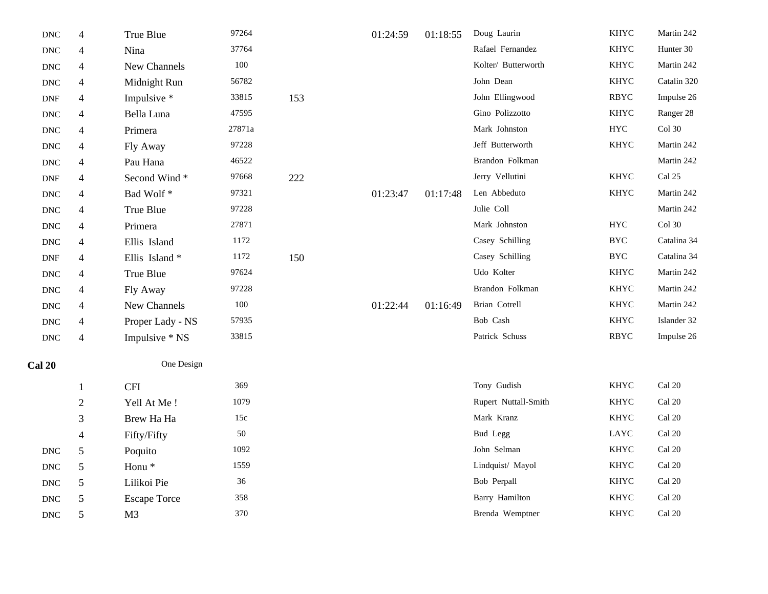| $\operatorname{DNC}$        | $\overline{4}$ | True Blue           | 97264   |     | 01:24:59 | 01:18:55 | Doug Laurin          | <b>KHYC</b> | Martin 242              |
|-----------------------------|----------------|---------------------|---------|-----|----------|----------|----------------------|-------------|-------------------------|
| $\operatorname{DNC}$        | $\overline{4}$ | Nina                | 37764   |     |          |          | Rafael Fernandez     | <b>KHYC</b> | Hunter 30               |
| $\operatorname{DNC}$        | $\overline{4}$ | New Channels        | $100\,$ |     |          |          | Kolter/ Butterworth  | KHYC        | Martin 242              |
| $\operatorname{DNC}$        | $\overline{4}$ | Midnight Run        | 56782   |     |          |          | John Dean            | <b>KHYC</b> | Catalin 320             |
| $\ensuremath{\mathsf{DNF}}$ | $\overline{4}$ | Impulsive *         | 33815   | 153 |          |          | John Ellingwood      | <b>RBYC</b> | Impulse 26              |
| $\operatorname{DNC}$        | $\overline{4}$ | Bella Luna          | 47595   |     |          |          | Gino Polizzotto      | <b>KHYC</b> | Ranger 28               |
| $\ensuremath{\text{DNC}}$   | $\overline{4}$ | Primera             | 27871a  |     |          |          | Mark Johnston        | <b>HYC</b>  | $Col$ 30                |
| $\operatorname{DNC}$        | $\overline{4}$ | Fly Away            | 97228   |     |          |          | Jeff Butterworth     | <b>KHYC</b> | Martin 242              |
| $\operatorname{DNC}$        | $\overline{4}$ | Pau Hana            | 46522   |     |          |          | Brandon Folkman      |             | Martin 242              |
| $\ensuremath{\mathsf{DNF}}$ | $\overline{4}$ | Second Wind*        | 97668   | 222 |          |          | Jerry Vellutini      | <b>KHYC</b> | Cal 25                  |
| $\operatorname{DNC}$        | $\overline{4}$ | Bad Wolf*           | 97321   |     | 01:23:47 | 01:17:48 | Len Abbeduto         | KHYC        | Martin 242              |
| <b>DNC</b>                  | $\overline{4}$ | True Blue           | 97228   |     |          |          | Julie Coll           |             | Martin 242              |
| $\operatorname{DNC}$        | $\overline{4}$ | Primera             | 27871   |     |          |          | Mark Johnston        | <b>HYC</b>  | $Col$ 30                |
| $\operatorname{DNC}$        | $\overline{4}$ | Ellis Island        | 1172    |     |          |          | Casey Schilling      | <b>BYC</b>  | Catalina 34             |
| <b>DNF</b>                  | $\overline{4}$ | Ellis Island*       | 1172    | 150 |          |          | Casey Schilling      | <b>BYC</b>  | Catalina 34             |
| $\operatorname{DNC}$        | $\overline{4}$ | True Blue           | 97624   |     |          |          | Udo Kolter           | KHYC        | Martin 242              |
| $\operatorname{DNC}$        | $\overline{4}$ | Fly Away            | 97228   |     |          |          | Brandon Folkman      | <b>KHYC</b> | Martin 242              |
| $\operatorname{DNC}$        | $\overline{4}$ | New Channels        | 100     |     | 01:22:44 | 01:16:49 | Brian Cotrell        | KHYC        | Martin 242              |
| $\operatorname{DNC}$        | $\overline{4}$ | Proper Lady - NS    | 57935   |     |          |          | Bob Cash             | <b>KHYC</b> | Islander 32             |
| $\operatorname{DNC}$        | $\overline{4}$ | Impulsive * NS      | 33815   |     |          |          | Patrick Schuss       | <b>RBYC</b> | Impulse 26              |
| <b>Cal 20</b>               |                | One Design          |         |     |          |          |                      |             |                         |
|                             | $\mathbf{1}$   | <b>CFI</b>          | 369     |     |          |          | Tony Gudish          | <b>KHYC</b> | Cal 20                  |
|                             | $\sqrt{2}$     | Yell At Me!         | 1079    |     |          |          | Rupert Nuttall-Smith | <b>KHYC</b> | Cal 20                  |
|                             | 3              | Brew Ha Ha          | 15c     |     |          |          | Mark Kranz           | KHYC        | $\operatorname{Cal}$ 20 |
|                             | $\overline{4}$ | Fifty/Fifty         | 50      |     |          |          | Bud Legg             | LAYC        | Cal 20                  |
| $\operatorname{DNC}$        | 5              | Poquito             | 1092    |     |          |          | John Selman          | KHYC        | $\operatorname{Cal}$ 20 |
| $\operatorname{DNC}$        | 5              | Honu <sup>*</sup>   | 1559    |     |          |          | Lindquist/ Mayol     | <b>KHYC</b> | Cal 20                  |
| $\operatorname{DNC}$        | 5              | Lilikoi Pie         | 36      |     |          |          | Bob Perpall          | <b>KHYC</b> | Cal 20                  |
| $\mathop{\rm DNC}\nolimits$ | 5              | <b>Escape Torce</b> | 358     |     |          |          | Barry Hamilton       | <b>KHYC</b> | Cal 20                  |
| <b>DNC</b>                  | 5              | M <sub>3</sub>      | 370     |     |          |          | Brenda Wemptner      | <b>KHYC</b> | $\operatorname{Cal}$ 20 |